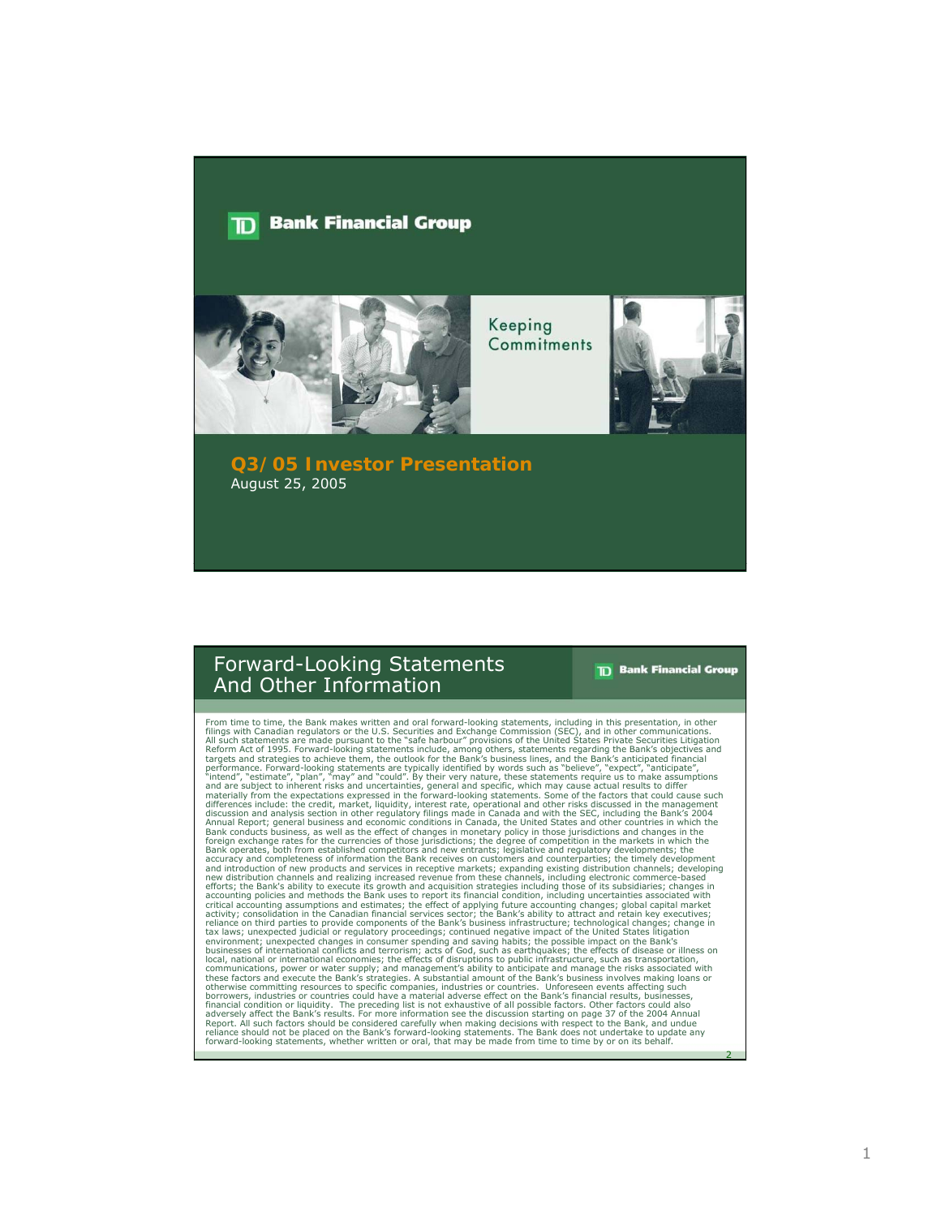#### **Bank Financial Group** חד



Keeping Commitments



**Q3/05 Investor Presentation** August 25, 2005

### Forward-Looking Statements And Other Information

**TD** Bank Financial Group

2

From time to time, the Bank makes written and oral forward-looking statements, including in this presentation, in other communications.<br>Filings with Canadian regulators or the U.S. Securities and Exchange Commission (SEC), accuracy and completeness of information the Bank receives on customers and counterparties; the timely development and control and control and control of new products and ereliging increased revenue from these channels, in reliance should not be placed on the Bank's forward-looking statements. The Bank does not undertake to update any forward-looking statements, whether written or oral, that may be made from time to time by or on its behalf.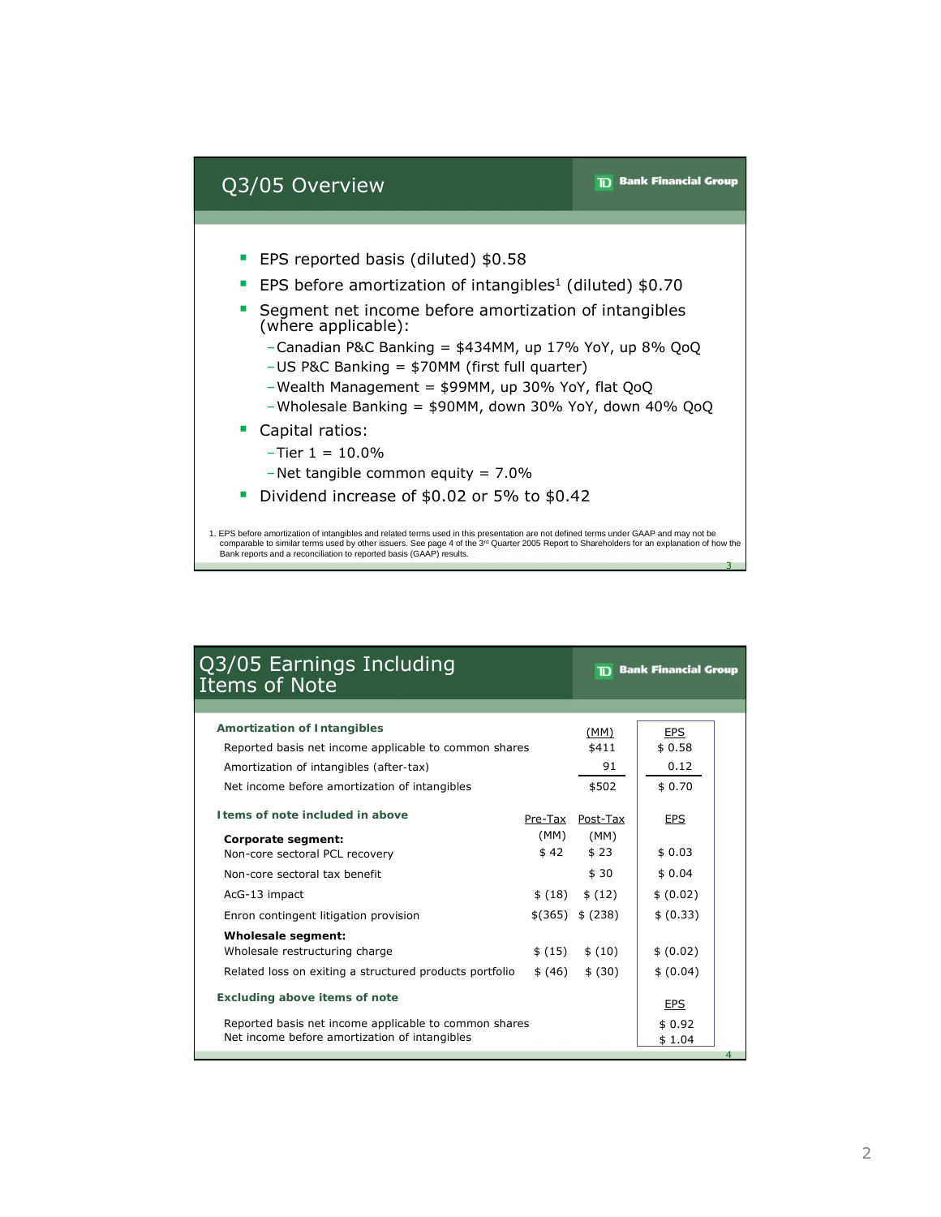

| Q3/05 Earnings Including<br><b>Items of Note</b>        |           |                          | <b>Bank Financial Group</b><br>m |   |  |
|---------------------------------------------------------|-----------|--------------------------|----------------------------------|---|--|
|                                                         |           |                          |                                  |   |  |
| <b>Amortization of Intangibles</b>                      |           | (MM)                     | <b>EPS</b>                       |   |  |
| Reported basis net income applicable to common shares   |           |                          | \$0.58                           |   |  |
| Amortization of intangibles (after-tax)                 |           |                          | 0.12                             |   |  |
| Net income before amortization of intangibles           |           | \$502                    | \$0.70                           |   |  |
| I tems of note included in above                        | (MM)      | Pre-Tax Post-Tax<br>(MM) | <b>EPS</b>                       |   |  |
| Corporate segment:<br>Non-core sectoral PCL recovery    | \$42      | \$23                     | \$0.03                           |   |  |
| Non-core sectoral tax benefit                           |           | \$30                     | \$0.04                           |   |  |
| AcG-13 impact                                           | \$(18)    | \$(12)                   | \$ (0.02)                        |   |  |
| Enron contingent litigation provision                   | $$$ (365) | \$ (238)                 | \$ (0.33)                        |   |  |
| Wholesale segment:                                      |           |                          |                                  |   |  |
| Wholesale restructuring charge                          | \$(15)    | \$(10)                   | \$ (0.02)                        |   |  |
| Related loss on exiting a structured products portfolio | \$ (46)   | \$ (30)                  | \$ (0.04)                        |   |  |
| <b>Excluding above items of note</b>                    |           |                          | <b>EPS</b>                       |   |  |
| Reported basis net income applicable to common shares   | \$0.92    |                          |                                  |   |  |
| Net income before amortization of intangibles           |           |                          | \$1.04                           |   |  |
|                                                         |           |                          |                                  | 4 |  |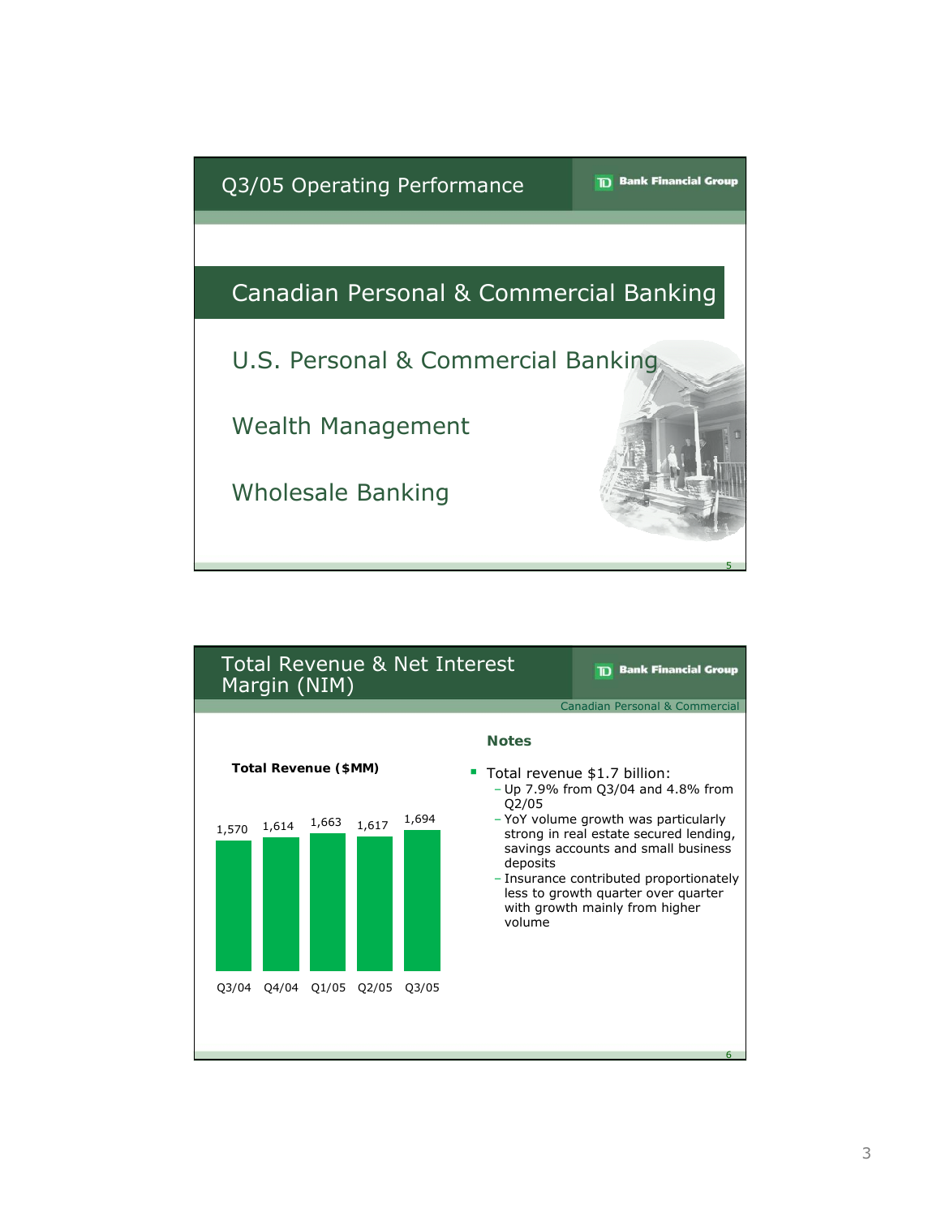

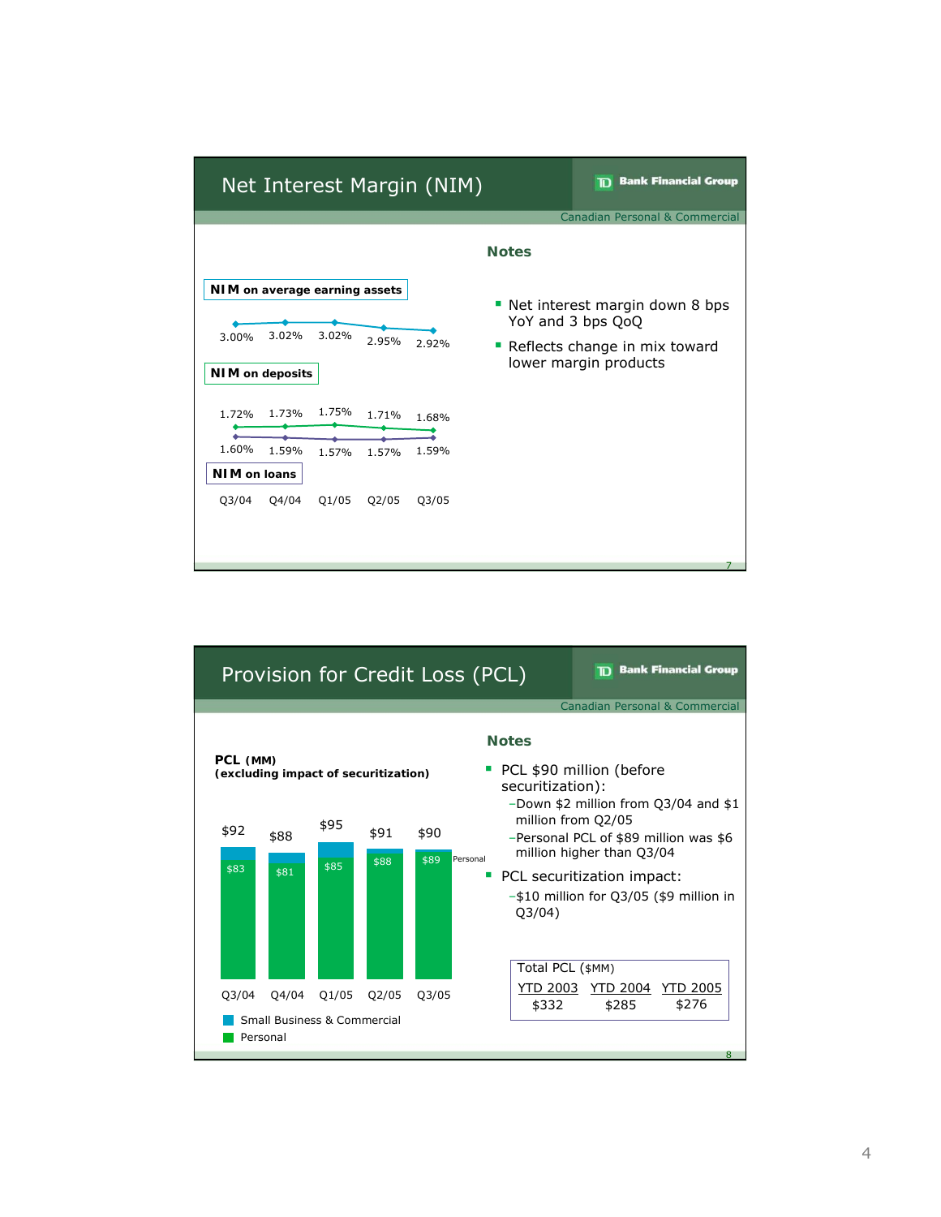

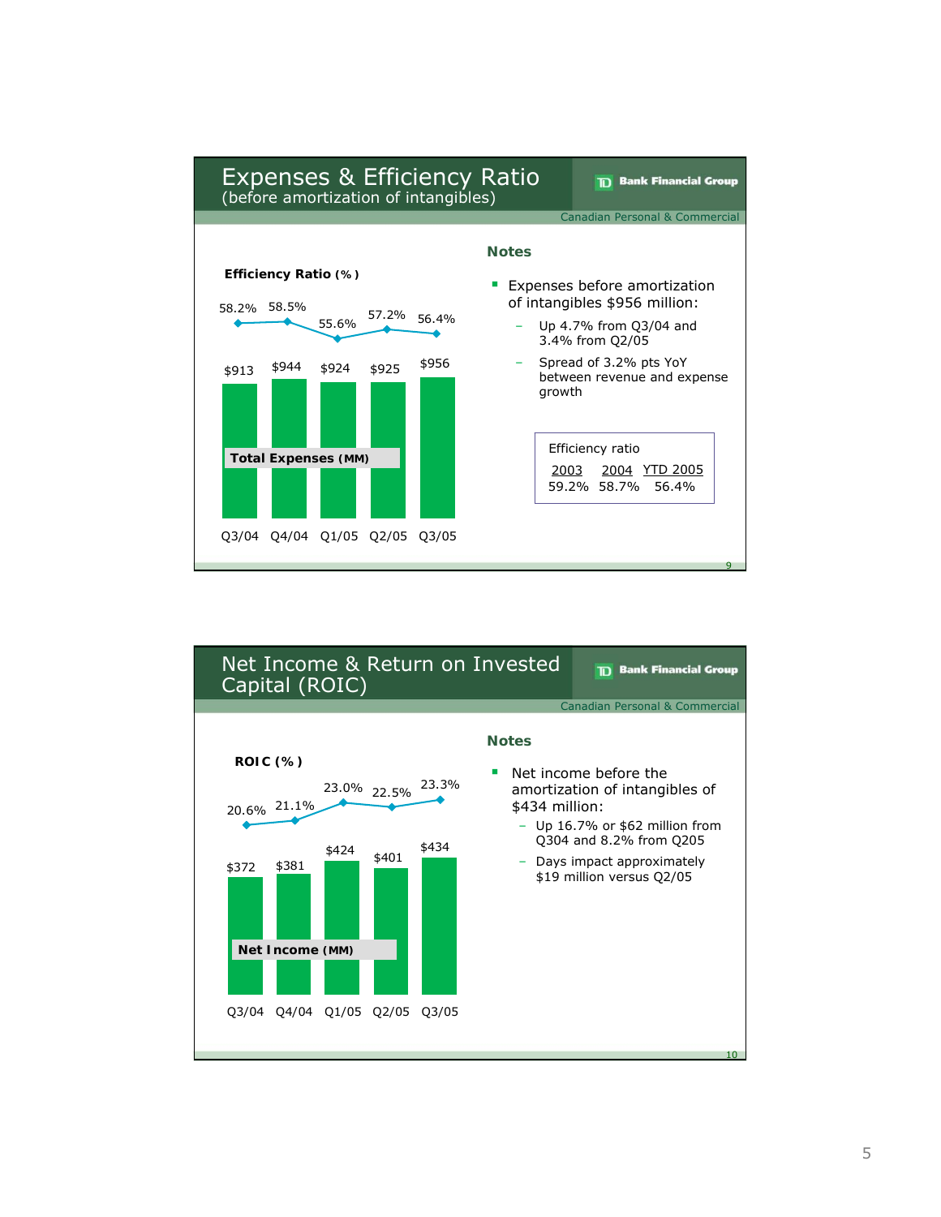

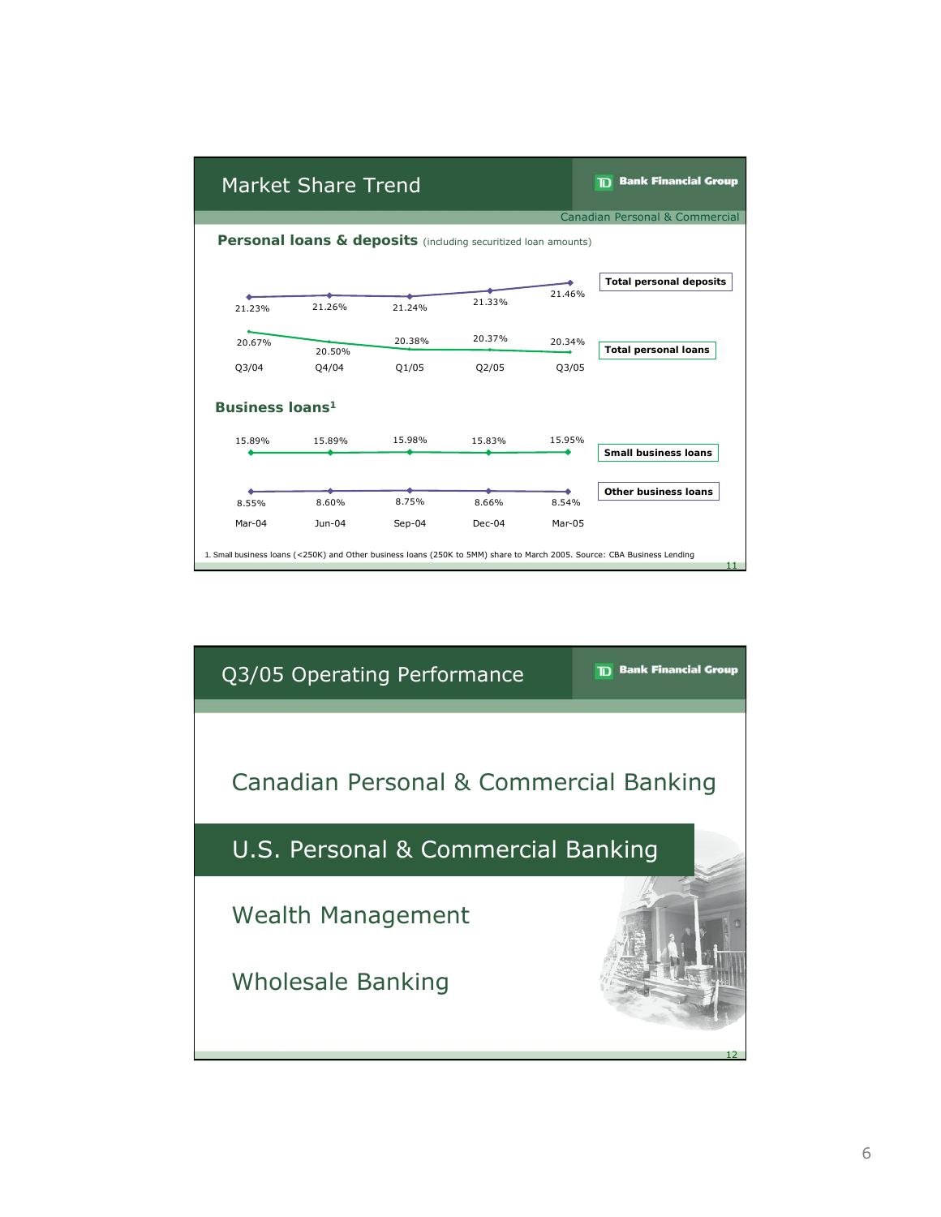

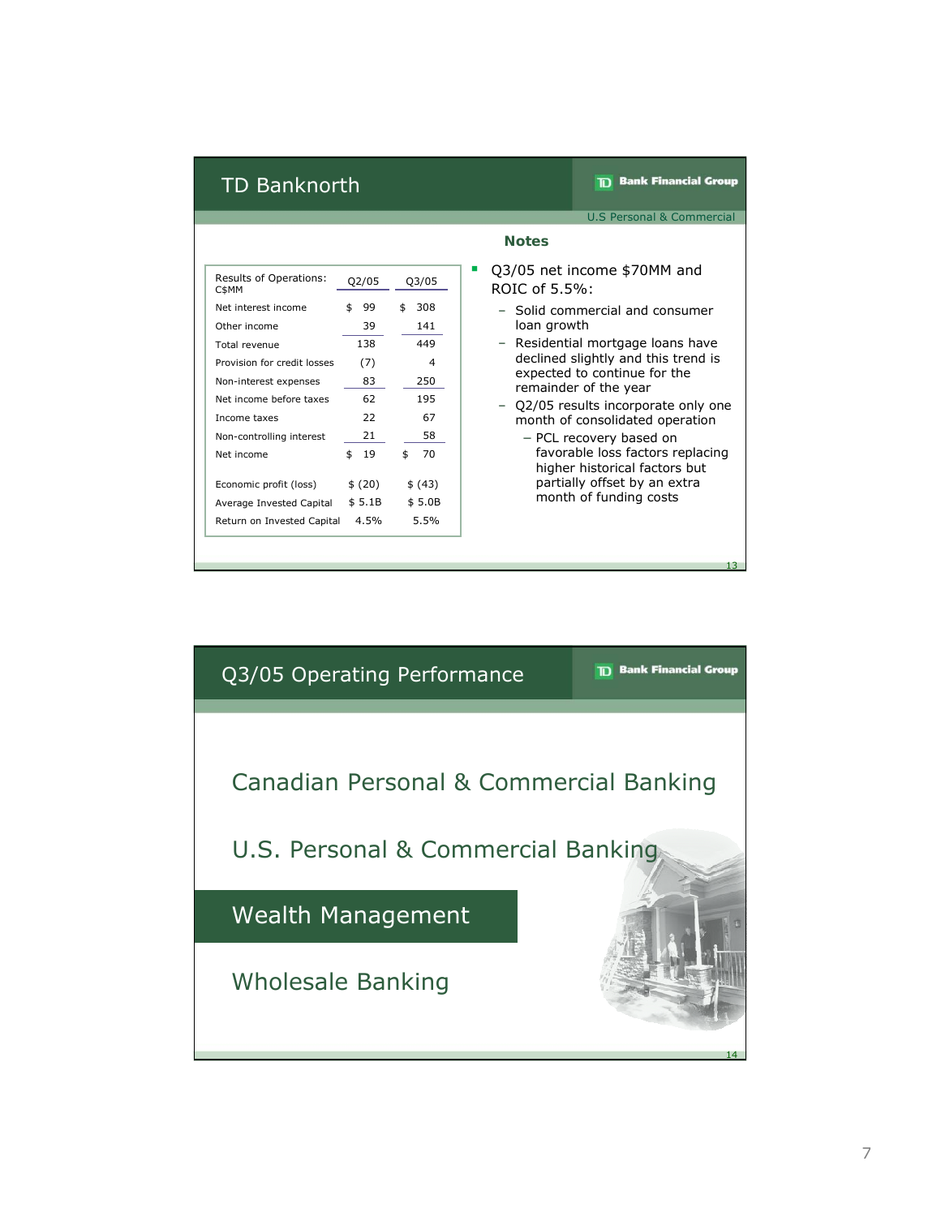## TD Banknorth

**TD** Bank Financial Group

U.S Personal & Commercial

| Results of Operations:<br>C\$MM | Q2/05    | Q3/05     |
|---------------------------------|----------|-----------|
| Net interest income             | \$<br>99 | 308<br>\$ |
| Other income                    | 39       | 141       |
| Total revenue                   | 138      | 449       |
| Provision for credit losses     | (7)      | 4         |
| Non-interest expenses           | 83       | 250       |
| Net income before taxes         | 62       | 195       |
| Income taxes                    | 22       | 67        |
| Non-controlling interest        | 21       | 58        |
| Net income                      | \$<br>19 | 70<br>\$  |
|                                 |          |           |
| Economic profit (loss)          | \$(20)   | \$ (43)   |
| Average Invested Capital        | \$5.1B   | \$5.0B    |
| Return on Invested Capital      | 4.5%     | 5.5%      |

#### **Notes**

- Q3/05 Q3/05 net income \$70MM and ROIC of 5.5%:
	- Solid commercial and consumer loan growth
	- Residential mortgage loans have declined slightly and this trend is expected to continue for the remainder of the year
	- Q2/05 results incorporate only one month of consolidated operation
		- − PCL recovery based on favorable loss factors replacing higher historical factors but partially offset by an extra month of funding costs

13

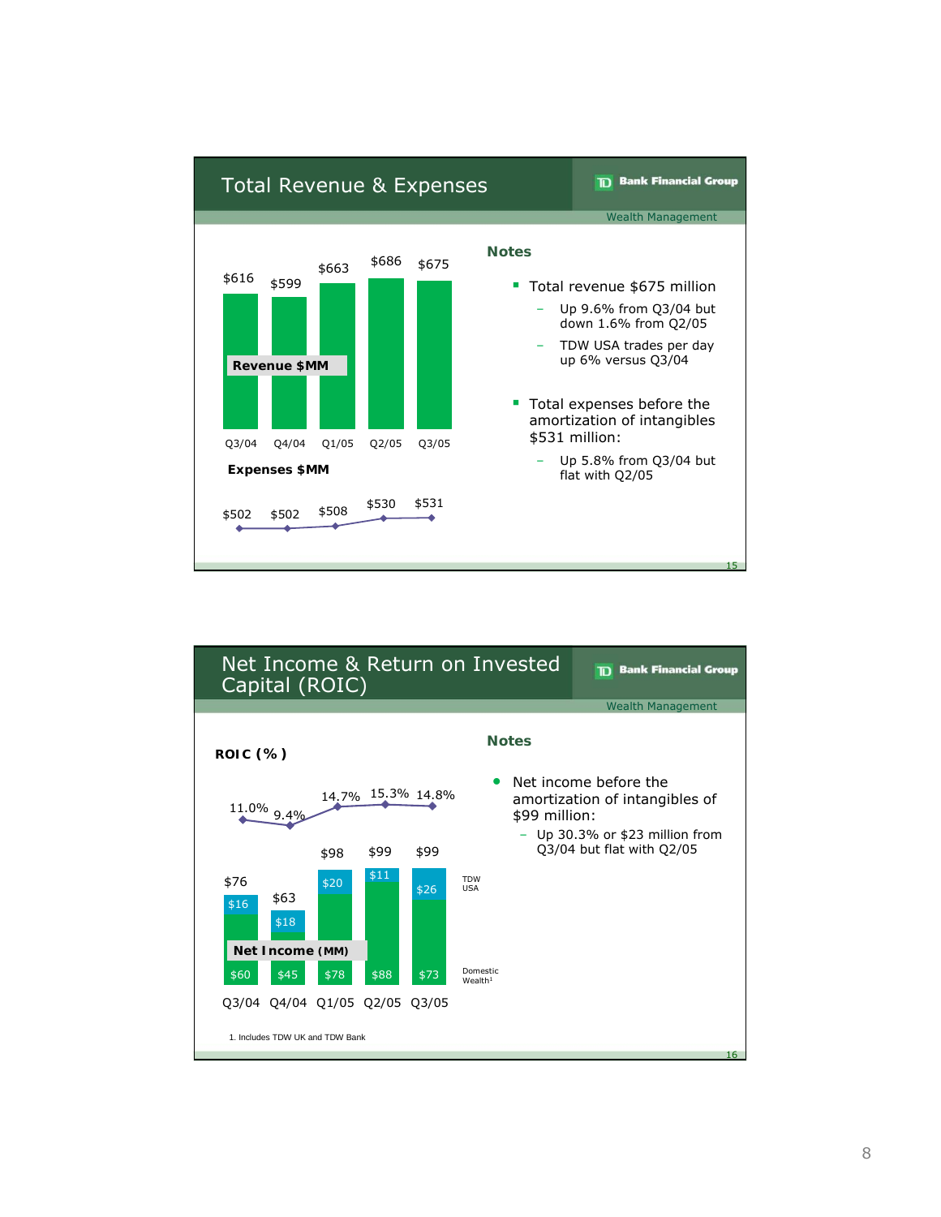

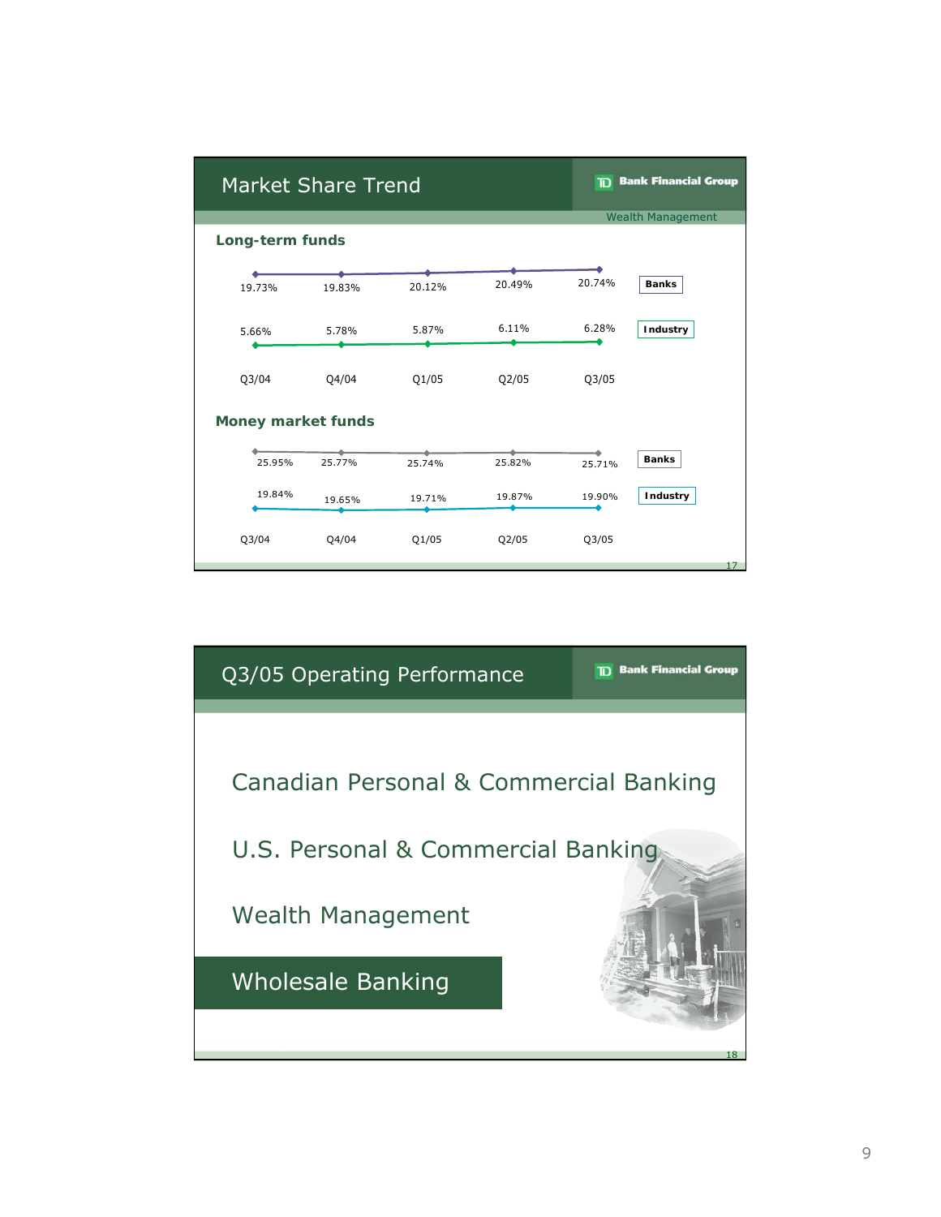| <b>Market Share Trend</b> |        |        |                          | <b>TD</b> Bank Financial Group |              |  |  |
|---------------------------|--------|--------|--------------------------|--------------------------------|--------------|--|--|
|                           |        |        | <b>Wealth Management</b> |                                |              |  |  |
| Long-term funds           |        |        |                          |                                |              |  |  |
|                           |        |        |                          |                                |              |  |  |
| 19.73%                    | 19.83% | 20.12% | 20.49%                   | 20.74%                         | <b>Banks</b> |  |  |
| 5.66%                     | 5.78%  | 5.87%  | 6.11%                    | 6.28%                          | Industry     |  |  |
| Q3/04                     | Q4/04  | Q1/05  | Q2/05                    | Q3/05                          |              |  |  |
| <b>Money market funds</b> |        |        |                          |                                |              |  |  |
|                           |        |        |                          |                                |              |  |  |
| 25.95%                    | 25.77% | 25.74% | 25.82%                   | 25.71%                         | <b>Banks</b> |  |  |
| 19.84%                    | 19.65% | 19.71% | 19.87%                   | 19.90%                         | Industry     |  |  |
| Q3/04                     | Q4/04  | Q1/05  | Q2/05                    | Q3/05                          |              |  |  |
|                           |        |        |                          |                                |              |  |  |

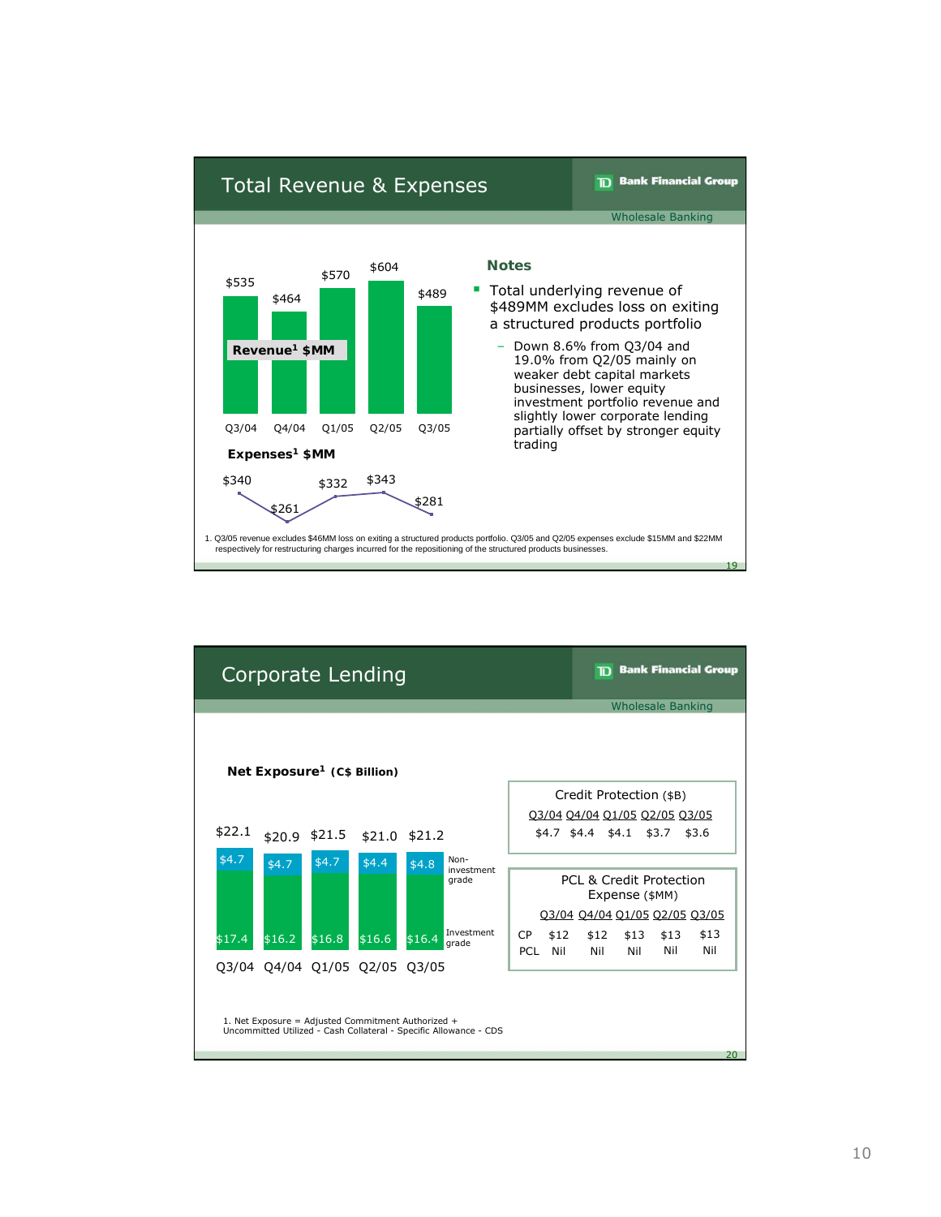

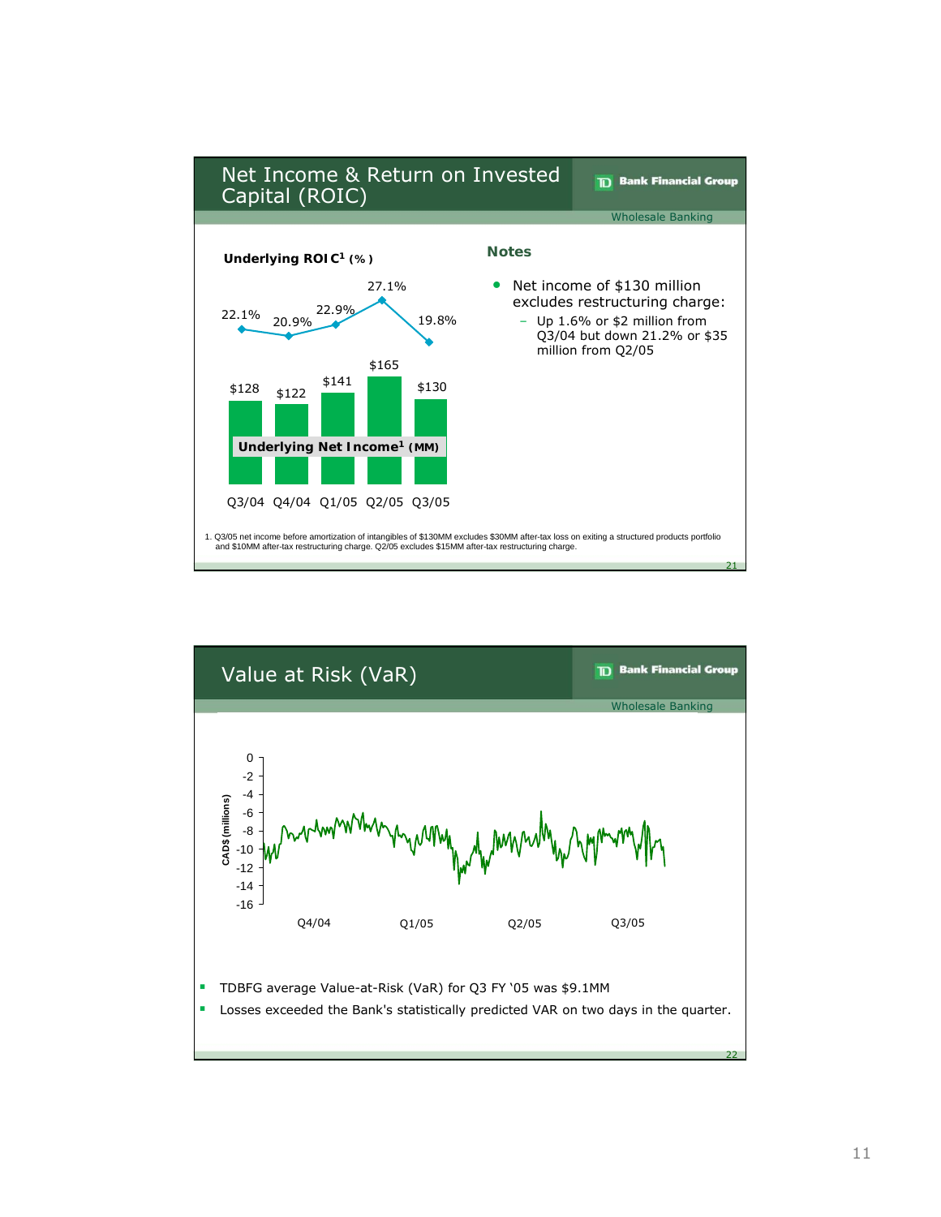